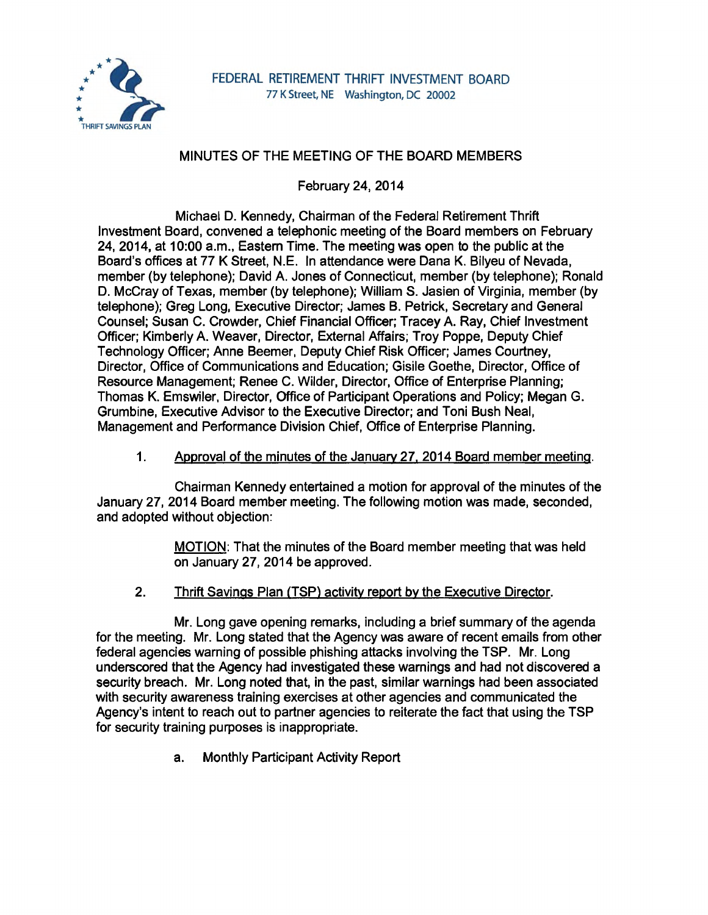

# MINUTES OF THE MEETING OF THE BOARD MEMBERS

February 24, 2014

Michael D. Kennedy, Chairman of the Federal Retirement Thrift Investment Board, convened a telephonic meeting of the Board members on February 24, 2014, at 10:00 a.m., Eastern Time. The meeting was open to the public at the Board's offices at 77 K Street, N.E. In attendance were Dana K. Bilyeu of Nevada, member (by telephone); David A. Jones of Connecticut, member (by telephone); Ronald D. McCray of Texas, member (by telephone); William S. Jasien of Virginia, member (by telephone); Greg Long, Executive Director; James B. Petrick, Secretary and General Counsel; Susan C. Crowder, Chief Financial Officer; Tracey A. Ray, Chief Investment Officer; Kimberly A. Weaver, Director, External Affairs; Troy Poppe, Deputy Chief Technology Officer; Anne Beemer, Deputy Chief Risk Officer; James Courtney, Director, Office of Communications and Education; Gisile Goethe, Director, Office of Resource Management; Renee C. Wilder, Director, Office of Enterprise Planning; Thomas K. Emswiler, Director, Office of Participant Operations and Policy; Megan G. Grumbine, Executive Advisor to the Executive Director; and Toni Bush Neal, Management and Performance Division Chief, Office of Enterprise Planning.

# 1. Approval of the minutes of the January 27, 2014 Board member meeting.

Chairman Kennedy entertained a motion for approval of the minutes of the January 27, 2014 Board member meeting. The following motion was made, seconded, and adopted without objection:

> MOTION: That the minutes of the Board member meeting that was held on January 27, 2014 be approved.

2. Thrift Savings Plan (TSP) activity report by the Executive Director.

Mr. Long gave opening remarks, including a brief summary of the agenda for the meeting. Mr. Long stated that the Agency was aware of recent emails from other federal agencies warning of possible phishing attacks involving the TSP. Mr. Long underscored that the Agency had investigated these warnings and had not discovered a security breach. Mr. Long noted that, in the past, similar warnings had been associated with security awareness training exercises at other agencies and communicated the Agency's intent to reach out to partner agencies to reiterate the fact that using the TSP for security training purposes is inappropriate.

a. Monthly Participant Activity Report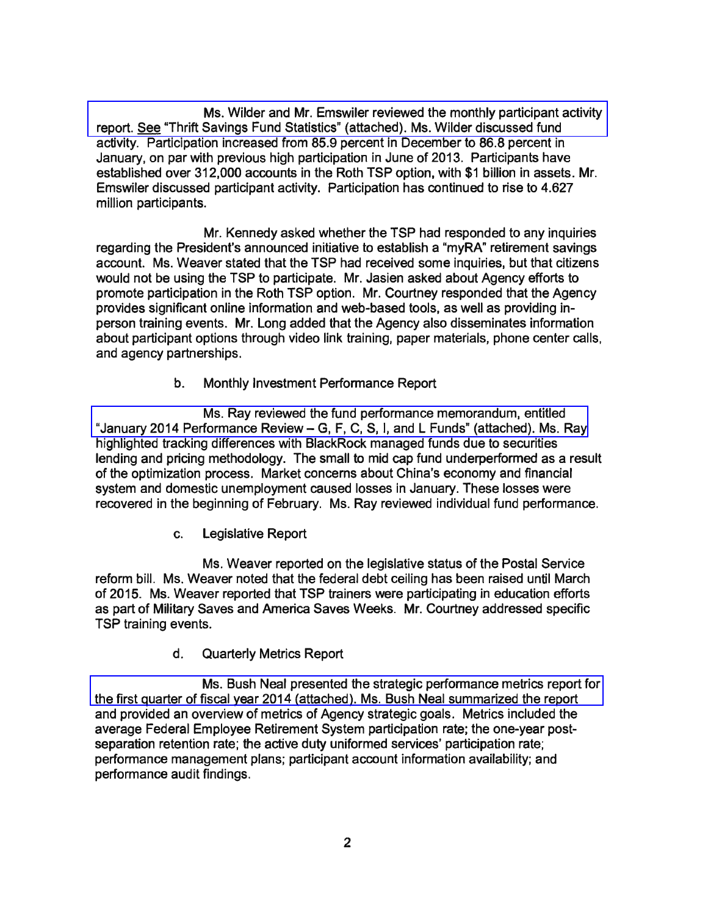Ms. Wilder and Mr. Emswiler reviewed the monthly participant activity [report. See "Thrift Savings Fund Statistics" \(attached\). Ms. Wilder discussed fund](http://www.frtib.gov/pdf/minutes/MM-2014Feb-Att1.pdf)  activity. Participation increased from 85.9 percent in December to 86.8 percent in January, on par with previous high participation in June of 2013. Participants have established over 312,000 accounts in the Roth TSP option, with \$1 billion in assets. Mr. Emswiler discussed participant activity. Participation has continued to rise to 4.627 million participants.

Mr. Kennedy asked whether the TSP had responded to any inquiries regarding the President's announced initiative to establish a "myRA" retirement savings account. Ms. Weaver stated that the TSP had received some inquiries, but that citizens would not be using the TSP to participate. Mr. Jasien asked about Agency efforts to promote participation in the Roth TSP option. Mr. Courtney responded that the Agency provides significant online information and web-based tools, as well as providing inperson training events. Mr. Long added that the Agency also disseminates information about participant options through video link training, paper materials, phone center calls, and agency partnerships.

b. Monthly Investment Performance Report

[Ms. Ray reviewed the fund performance memorandum, entitled](http://www.frtib.gov/pdf/minutes/MM-2014Feb-Att2.pdf)  "January 2014 Performance Review- G, F, C, S, I, and L Funds" (attached). Ms. Ray highlighted tracking differences with BlackRock managed funds due to securities lending and pricing methodology. The small to mid cap fund underperformed as a result of the optimization process. Market concerns about China's economy and financial system and domestic unemployment caused losses in January. These losses were recovered in the beginning of February. Ms. Ray reviewed individual fund performance.

c. Legislative Report

Ms. Weaver reported on the legislative status of the Postal Service reform bill. Ms. Weaver noted that the federal debt ceiling has been raised until March of 2015. Ms. Weaver reported that TSP trainers were participating in education efforts as part of Military Saves and America Saves Weeks. Mr. Courtney addressed specific TSP training events.

d. Quarterly Metrics Report

Ms. Bush Neal presented the strategic performance metrics report for [the first quarter of fiscal year 2014 \(attached\). Ms. Bush Neal summarized the report](http://www.frtib.gov/pdf/minutes/MM-2014Feb-Att3.pdf)  and provided an overview of metrics of Agency strategic goals. Metrics included the average Federal Employee Retirement System participation rate; the one-year postseparation retention rate; the active duty uniformed services' participation rate; performance management plans; participant account information availability; and performance audit findings.